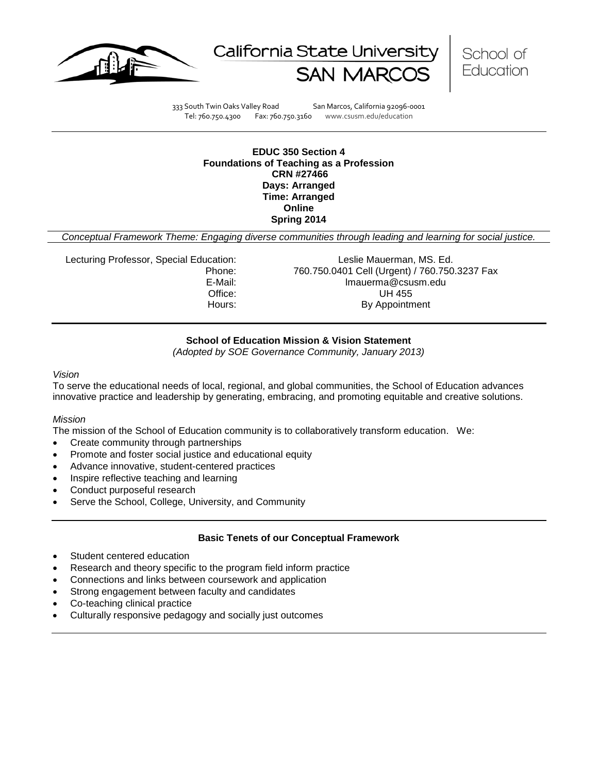





333 South Twin Oaks Valley Road San Marcos, California 92096-0001 Tel: 760.750.4300 Fax: 760.750.3160 www.csusm.edu/education

#### **EDUC 350 Section 4 Foundations of Teaching as a Profession CRN #27466 Days: Arranged Time: Arranged Online Spring 2014**

*Conceptual Framework Theme: Engaging diverse communities through leading and learning for social justice.*

Lecturing Professor, Special Education: Leslie Mauerman, MS. Ed.

Phone: 760.750.0401 Cell (Urgent) / 760.750.3237 Fax E-Mail: lmauerma@csusm.edu Office: UH 455 Hours: By Appointment

# **School of Education Mission & Vision Statement**

*(Adopted by SOE Governance Community, January 2013)*

<span id="page-0-0"></span>*Vision*

To serve the educational needs of local, regional, and global communities, the School of Education advances innovative practice and leadership by generating, embracing, and promoting equitable and creative solutions.

# *Mission*

The mission of the School of Education community is to collaboratively transform education. We:

- Create community through partnerships
- Promote and foster social justice and educational equity
- Advance innovative, student-centered practices
- Inspire reflective teaching and learning
- Conduct purposeful research
- Serve the School, College, University, and Community

#### **Basic Tenets of our Conceptual Framework**

- Student centered education
- Research and theory specific to the program field inform practice
- Connections and links between coursework and application
- Strong engagement between faculty and candidates
- Co-teaching clinical practice
- Culturally responsive pedagogy and socially just outcomes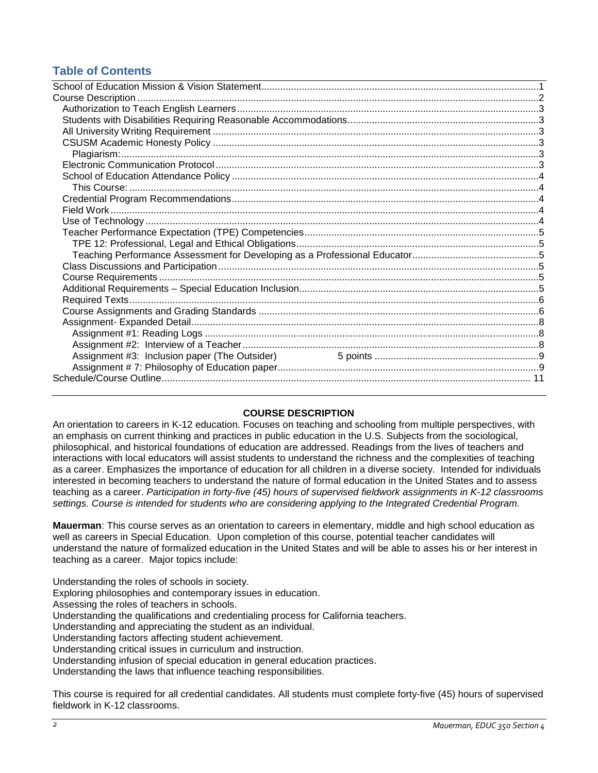# **Table of Contents**

# **COURSE DESCRIPTION**

<span id="page-1-0"></span>An orientation to careers in K-12 education. Focuses on teaching and schooling from multiple perspectives, with an emphasis on current thinking and practices in public education in the U.S. Subjects from the sociological, philosophical, and historical foundations of education are addressed. Readings from the lives of teachers and interactions with local educators will assist students to understand the richness and the complexities of teaching as a career. Emphasizes the importance of education for all children in a diverse society. Intended for individuals interested in becoming teachers to understand the nature of formal education in the United States and to assess teaching as a career. *Participation in forty-five (45) hours of supervised fieldwork assignments in K-12 classrooms settings. Course is intended for students who are considering applying to the Integrated Credential Program.*

**Mauerman**: This course serves as an orientation to careers in elementary, middle and high school education as well as careers in Special Education. Upon completion of this course, potential teacher candidates will understand the nature of formalized education in the United States and will be able to asses his or her interest in teaching as a career. Major topics include:

Understanding the roles of schools in society.

Exploring philosophies and contemporary issues in education.

Assessing the roles of teachers in schools.

Understanding the qualifications and credentialing process for California teachers.

Understanding and appreciating the student as an individual.

Understanding factors affecting student achievement.

Understanding critical issues in curriculum and instruction.

Understanding infusion of special education in general education practices.

Understanding the laws that influence teaching responsibilities.

This course is required for all credential candidates. All students must complete forty-five (45) hours of supervised fieldwork in K-12 classrooms.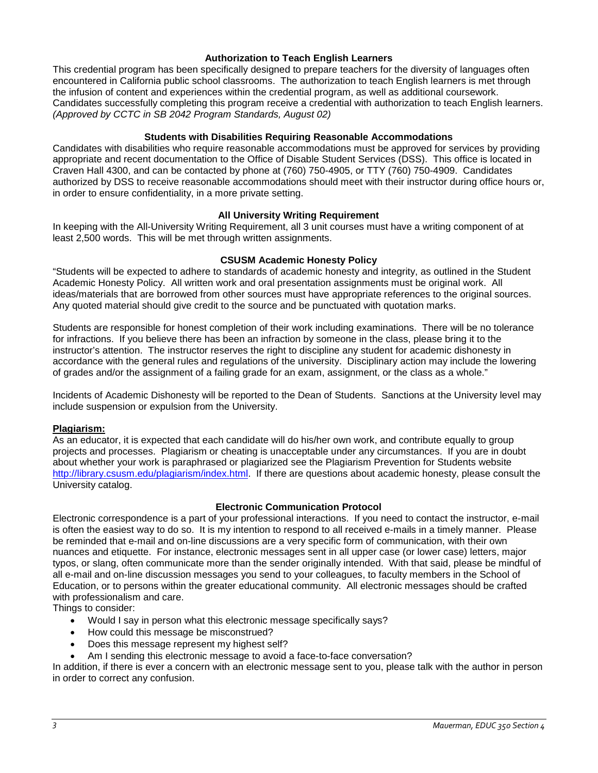# **Authorization to Teach English Learners**

<span id="page-2-0"></span>This credential program has been specifically designed to prepare teachers for the diversity of languages often encountered in California public school classrooms. The authorization to teach English learners is met through the infusion of content and experiences within the credential program, as well as additional coursework. Candidates successfully completing this program receive a credential with authorization to teach English learners. *(Approved by CCTC in SB 2042 Program Standards, August 02)*

# **Students with Disabilities Requiring Reasonable Accommodations**

<span id="page-2-1"></span>Candidates with disabilities who require reasonable accommodations must be approved for services by providing appropriate and recent documentation to the Office of Disable Student Services (DSS). This office is located in Craven Hall 4300, and can be contacted by phone at (760) 750-4905, or TTY (760) 750-4909. Candidates authorized by DSS to receive reasonable accommodations should meet with their instructor during office hours or, in order to ensure confidentiality, in a more private setting.

# **All University Writing Requirement**

<span id="page-2-2"></span>In keeping with the All-University Writing Requirement, all 3 unit courses must have a writing component of at least 2,500 words. This will be met through written assignments.

# **CSUSM Academic Honesty Policy**

<span id="page-2-3"></span>"Students will be expected to adhere to standards of academic honesty and integrity, as outlined in the Student Academic Honesty Policy. All written work and oral presentation assignments must be original work. All ideas/materials that are borrowed from other sources must have appropriate references to the original sources. Any quoted material should give credit to the source and be punctuated with quotation marks.

Students are responsible for honest completion of their work including examinations. There will be no tolerance for infractions. If you believe there has been an infraction by someone in the class, please bring it to the instructor's attention. The instructor reserves the right to discipline any student for academic dishonesty in accordance with the general rules and regulations of the university. Disciplinary action may include the lowering of grades and/or the assignment of a failing grade for an exam, assignment, or the class as a whole."

Incidents of Academic Dishonesty will be reported to the Dean of Students. Sanctions at the University level may include suspension or expulsion from the University.

#### <span id="page-2-4"></span>**Plagiarism:**

As an educator, it is expected that each candidate will do his/her own work, and contribute equally to group projects and processes. Plagiarism or cheating is unacceptable under any circumstances. If you are in doubt about whether your work is paraphrased or plagiarized see the Plagiarism Prevention for Students website [http://library.csusm.edu/plagiarism/index.html.](http://library.csusm.edu/plagiarism/index.html) If there are questions about academic honesty, please consult the University catalog.

#### **Electronic Communication Protocol**

<span id="page-2-5"></span>Electronic correspondence is a part of your professional interactions. If you need to contact the instructor, e-mail is often the easiest way to do so. It is my intention to respond to all received e-mails in a timely manner. Please be reminded that e-mail and on-line discussions are a very specific form of communication, with their own nuances and etiquette. For instance, electronic messages sent in all upper case (or lower case) letters, major typos, or slang, often communicate more than the sender originally intended. With that said, please be mindful of all e-mail and on-line discussion messages you send to your colleagues, to faculty members in the School of Education, or to persons within the greater educational community. All electronic messages should be crafted with professionalism and care.

Things to consider:

- Would I say in person what this electronic message specifically says?
- How could this message be misconstrued?
- Does this message represent my highest self?
- Am I sending this electronic message to avoid a face-to-face conversation?

In addition, if there is ever a concern with an electronic message sent to you, please talk with the author in person in order to correct any confusion.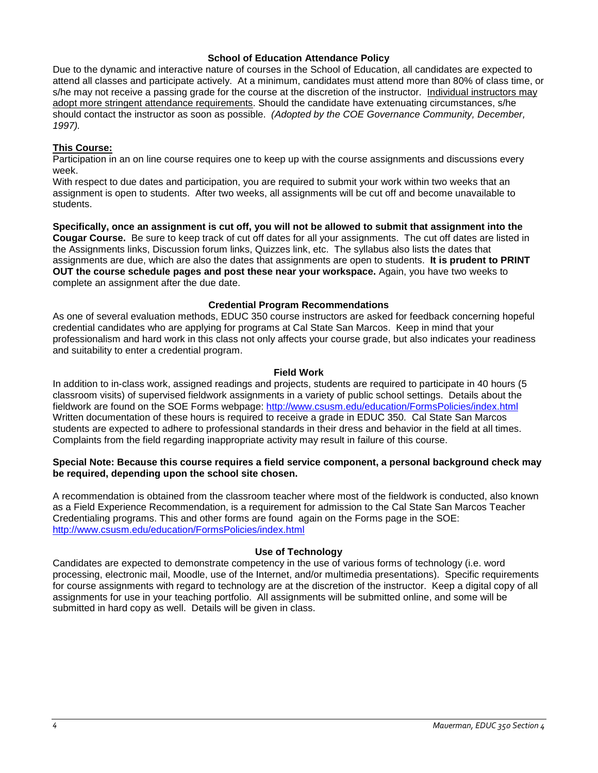#### **School of Education Attendance Policy**

<span id="page-3-0"></span>Due to the dynamic and interactive nature of courses in the School of Education, all candidates are expected to attend all classes and participate actively. At a minimum, candidates must attend more than 80% of class time, or s/he may not receive a passing grade for the course at the discretion of the instructor. Individual instructors may adopt more stringent attendance requirements. Should the candidate have extenuating circumstances, s/he should contact the instructor as soon as possible. *(Adopted by the COE Governance Community, December, 1997).*

#### <span id="page-3-1"></span>**This Course:**

Participation in an on line course requires one to keep up with the course assignments and discussions every week.

With respect to due dates and participation, you are required to submit your work within two weeks that an assignment is open to students. After two weeks, all assignments will be cut off and become unavailable to students.

**Specifically, once an assignment is cut off, you will not be allowed to submit that assignment into the Cougar Course.** Be sure to keep track of cut off dates for all your assignments. The cut off dates are listed in the Assignments links, Discussion forum links, Quizzes link, etc. The syllabus also lists the dates that assignments are due, which are also the dates that assignments are open to students. **It is prudent to PRINT OUT the course schedule pages and post these near your workspace.** Again, you have two weeks to complete an assignment after the due date.

#### **Credential Program Recommendations**

<span id="page-3-2"></span>As one of several evaluation methods, EDUC 350 course instructors are asked for feedback concerning hopeful credential candidates who are applying for programs at Cal State San Marcos. Keep in mind that your professionalism and hard work in this class not only affects your course grade, but also indicates your readiness and suitability to enter a credential program.

#### **Field Work**

<span id="page-3-3"></span>In addition to in-class work, assigned readings and projects, students are required to participate in 40 hours (5 classroom visits) of supervised fieldwork assignments in a variety of public school settings. Details about the fieldwork are found on the SOE Forms webpage:<http://www.csusm.edu/education/FormsPolicies/index.html> Written documentation of these hours is required to receive a grade in EDUC 350. Cal State San Marcos students are expected to adhere to professional standards in their dress and behavior in the field at all times. Complaints from the field regarding inappropriate activity may result in failure of this course.

#### **Special Note: Because this course requires a field service component, a personal background check may be required, depending upon the school site chosen.**

A recommendation is obtained from the classroom teacher where most of the fieldwork is conducted, also known as a Field Experience Recommendation, is a requirement for admission to the Cal State San Marcos Teacher Credentialing programs. This and other forms are found again on the Forms page in the SOE: <http://www.csusm.edu/education/FormsPolicies/index.html>

# **Use of Technology**

<span id="page-3-5"></span><span id="page-3-4"></span>Candidates are expected to demonstrate competency in the use of various forms of technology (i.e. word processing, electronic mail, Moodle, use of the Internet, and/or multimedia presentations). Specific requirements for course assignments with regard to technology are at the discretion of the instructor. Keep a digital copy of all assignments for use in your teaching portfolio. All assignments will be submitted online, and some will be submitted in hard copy as well. Details will be given in class.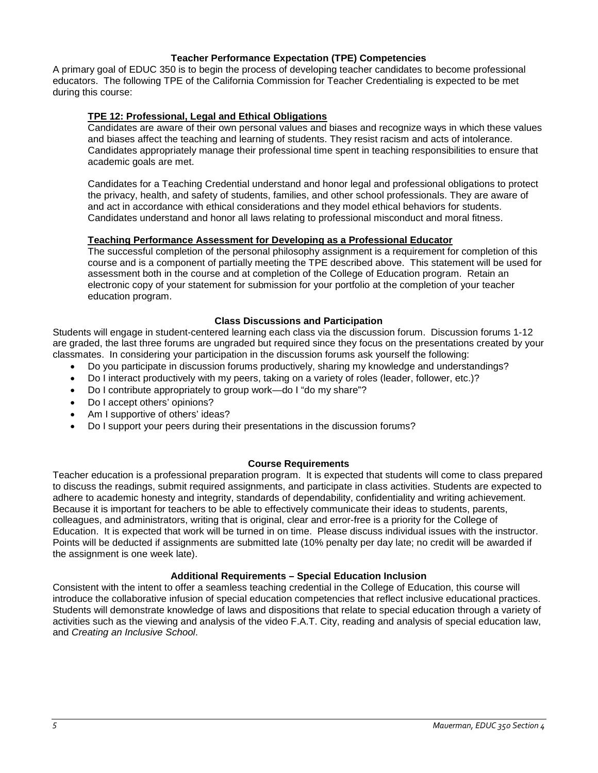# **Teacher Performance Expectation (TPE) Competencies**

A primary goal of EDUC 350 is to begin the process of developing teacher candidates to become professional educators. The following TPE of the California Commission for Teacher Credentialing is expected to be met during this course:

# <span id="page-4-0"></span>**TPE 12: Professional, Legal and Ethical Obligations**

Candidates are aware of their own personal values and biases and recognize ways in which these values and biases affect the teaching and learning of students. They resist racism and acts of intolerance. Candidates appropriately manage their professional time spent in teaching responsibilities to ensure that academic goals are met.

Candidates for a Teaching Credential understand and honor legal and professional obligations to protect the privacy, health, and safety of students, families, and other school professionals. They are aware of and act in accordance with ethical considerations and they model ethical behaviors for students. Candidates understand and honor all laws relating to professional misconduct and moral fitness.

# <span id="page-4-1"></span>**Teaching Performance Assessment for Developing as a Professional Educator**

The successful completion of the personal philosophy assignment is a requirement for completion of this course and is a component of partially meeting the TPE described above. This statement will be used for assessment both in the course and at completion of the College of Education program. Retain an electronic copy of your statement for submission for your portfolio at the completion of your teacher education program.

# **Class Discussions and Participation**

<span id="page-4-2"></span>Students will engage in student-centered learning each class via the discussion forum. Discussion forums 1-12 are graded, the last three forums are ungraded but required since they focus on the presentations created by your classmates. In considering your participation in the discussion forums ask yourself the following:

- Do you participate in discussion forums productively, sharing my knowledge and understandings?
- Do I interact productively with my peers, taking on a variety of roles (leader, follower, etc.)?
- Do I contribute appropriately to group work—do I "do my share"?
- Do I accept others' opinions?
- Am I supportive of others' ideas?
- Do I support your peers during their presentations in the discussion forums?

#### **Course Requirements**

<span id="page-4-3"></span>Teacher education is a professional preparation program. It is expected that students will come to class prepared to discuss the readings, submit required assignments, and participate in class activities. Students are expected to adhere to academic honesty and integrity, standards of dependability, confidentiality and writing achievement. Because it is important for teachers to be able to effectively communicate their ideas to students, parents, colleagues, and administrators, writing that is original, clear and error-free is a priority for the College of Education. It is expected that work will be turned in on time. Please discuss individual issues with the instructor. Points will be deducted if assignments are submitted late (10% penalty per day late; no credit will be awarded if the assignment is one week late).

#### **Additional Requirements – Special Education Inclusion**

<span id="page-4-5"></span><span id="page-4-4"></span>Consistent with the intent to offer a seamless teaching credential in the College of Education, this course will introduce the collaborative infusion of special education competencies that reflect inclusive educational practices. Students will demonstrate knowledge of laws and dispositions that relate to special education through a variety of activities such as the viewing and analysis of the video F.A.T. City, reading and analysis of special education law, and *Creating an Inclusive School*.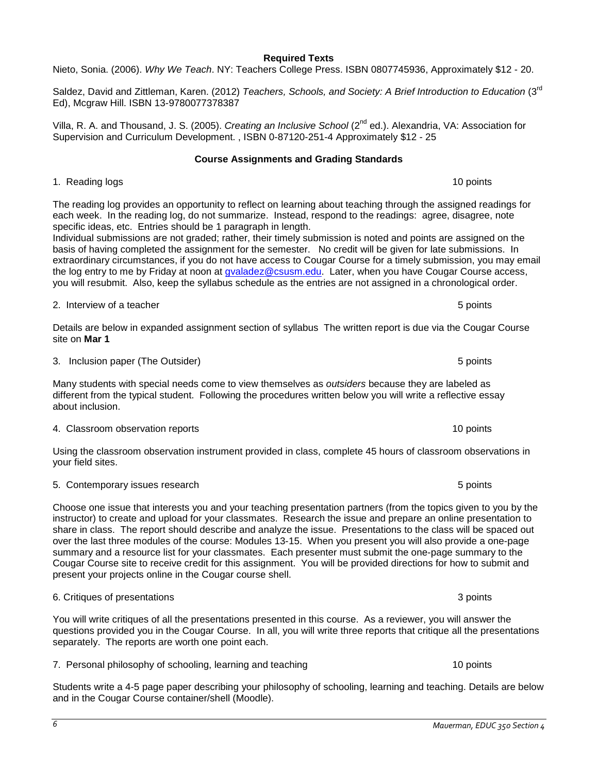# **Required Texts**

Nieto, Sonia. (2006). *Why We Teach*. NY: Teachers College Press. ISBN 0807745936, Approximately \$12 - 20.

Saldez, David and Zittleman, Karen. (2012) *Teachers, Schools, and Society: A Brief Introduction to Education* (3<sup>rd</sup> Ed), Mcgraw Hill. ISBN 13-9780077378387

Villa, R. A. and Thousand, J. S. (2005). *Creating an Inclusive School* (2nd ed.). Alexandria, VA: Association for Supervision and Curriculum Development. , ISBN 0-87120-251-4 Approximately \$12 - 25

# **Course Assignments and Grading Standards**

<span id="page-5-0"></span>1. Reading logs 10 points 10 points 10 points 10 points 10 points 10 points 10 points 10 points 10 points 10 points 10 points 10 points 10 points 10 points 10 points 10 points 10 points 10 points 10 points 10 points 10 poi

The reading log provides an opportunity to reflect on learning about teaching through the assigned readings for each week. In the reading log, do not summarize. Instead, respond to the readings: agree, disagree, note specific ideas, etc. Entries should be 1 paragraph in length.

Individual submissions are not graded; rather, their timely submission is noted and points are assigned on the basis of having completed the assignment for the semester. No credit will be given for late submissions. In extraordinary circumstances, if you do not have access to Cougar Course for a timely submission, you may email the log entry to me by Friday at noon at [gvaladez@csusm.edu.](mailto:gvaladez@csusm.edu) Later, when you have Cougar Course access, you will resubmit. Also, keep the syllabus schedule as the entries are not assigned in a chronological order.

2. Interview of a teacher **5 points** 2. Interview of a teacher 5 points

Details are below in expanded assignment section of syllabus The written report is due via the Cougar Course site on **Mar 1**

3. Inclusion paper (The Outsider) 6 points and the other has been also been allowed by the set of the outsider

Many students with special needs come to view themselves as *outsiders* because they are labeled as different from the typical student. Following the procedures written below you will write a reflective essay about inclusion.

A. Classroom observation reports 10 points 10 points 10 points 10 points 10 points 10 points 10 points 10 points 10 points 10 points 10 points 10 points 10 points 10 points 10 points 10 points 10 points 10 points 10 points

Using the classroom observation instrument provided in class, complete 45 hours of classroom observations in your field sites.

5. Contemporary issues research 5 points and  $\sim$  5 points of points  $\sim$  5 points 5 points of points  $\sim$  5 points of points of points of points of points of points of points of points of points of points of points of poi

Choose one issue that interests you and your teaching presentation partners (from the topics given to you by the instructor) to create and upload for your classmates. Research the issue and prepare an online presentation to share in class. The report should describe and analyze the issue. Presentations to the class will be spaced out over the last three modules of the course: Modules 13-15. When you present you will also provide a one-page summary and a resource list for your classmates. Each presenter must submit the one-page summary to the Cougar Course site to receive credit for this assignment. You will be provided directions for how to submit and present your projects online in the Cougar course shell.

You will write critiques of all the presentations presented in this course. As a reviewer, you will answer the questions provided you in the Cougar Course. In all, you will write three reports that critique all the presentations separately. The reports are worth one point each.

7. Personal philosophy of schooling, learning and teaching 10 points 10 points

Students write a 4-5 page paper describing your philosophy of schooling, learning and teaching. Details are below and in the Cougar Course container/shell (Moodle).

6. Critiques of presentations 3 points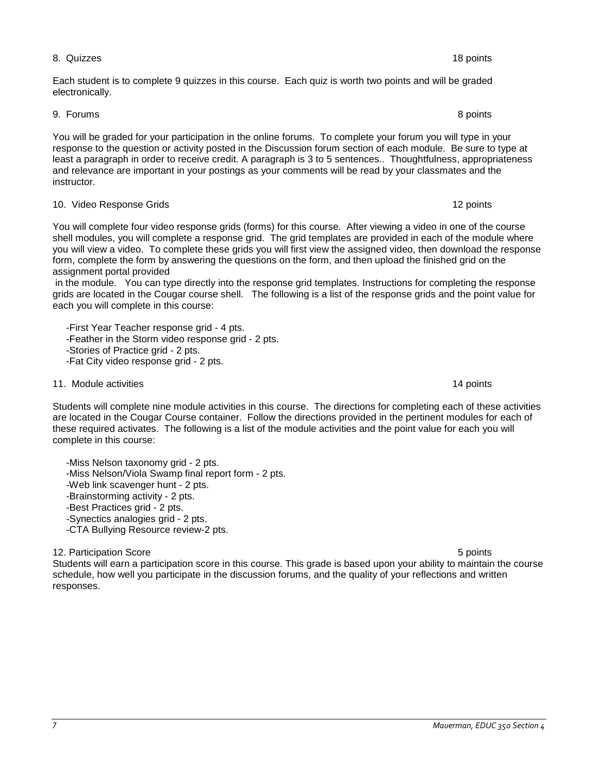#### 8. Quizzes 18 points

#### Each student is to complete 9 quizzes in this course. Each quiz is worth two points and will be graded electronically.

9. Forums 8 points

You will be graded for your participation in the online forums. To complete your forum you will type in your response to the question or activity posted in the Discussion forum section of each module. Be sure to type at least a paragraph in order to receive credit. A paragraph is 3 to 5 sentences.. Thoughtfulness, appropriateness and relevance are important in your postings as your comments will be read by your classmates and the instructor.

# 10. Video Response Grids 12 points

You will complete four video response grids (forms) for this course. After viewing a video in one of the course shell modules, you will complete a response grid. The grid templates are provided in each of the module where you will view a video. To complete these grids you will first view the assigned video, then download the response form, complete the form by answering the questions on the form, and then upload the finished grid on the assignment portal provided

in the module. You can type directly into the response grid templates. Instructions for completing the response grids are located in the Cougar course shell. The following is a list of the response grids and the point value for each you will complete in this course:

 -First Year Teacher response grid - 4 pts. -Feather in the Storm video response grid - 2 pts. -Stories of Practice grid - 2 pts.

-Fat City video response grid - 2 pts.

# 11. Module activities **14 points** 14 points 14 points 14 points 14 points 14 points 14 points 14 points 14 points 14 points 14 points 14 points 14 points 14 points 14 points 14 points 14 points 14 points 14 points 14 point

Students will complete nine module activities in this course. The directions for completing each of these activities are located in the Cougar Course container. Follow the directions provided in the pertinent modules for each of these required activates. The following is a list of the module activities and the point value for each you will complete in this course:

-Miss Nelson taxonomy grid - 2 pts.

- -Miss Nelson/Viola Swamp final report form 2 pts.
- -Web link scavenger hunt 2 pts.
- -Brainstorming activity 2 pts.
- -Best Practices grid 2 pts.
- -Synectics analogies grid 2 pts.
- -CTA Bullying Resource review-2 pts.

# 12. Participation Score 5 points and the set of the set of the set of the set of the set of the set of the set of the set of the set of the set of the set of the set of the set of the set of the set of the set of the set o

Students will earn a participation score in this course. This grade is based upon your ability to maintain the course schedule, how well you participate in the discussion forums, and the quality of your reflections and written responses.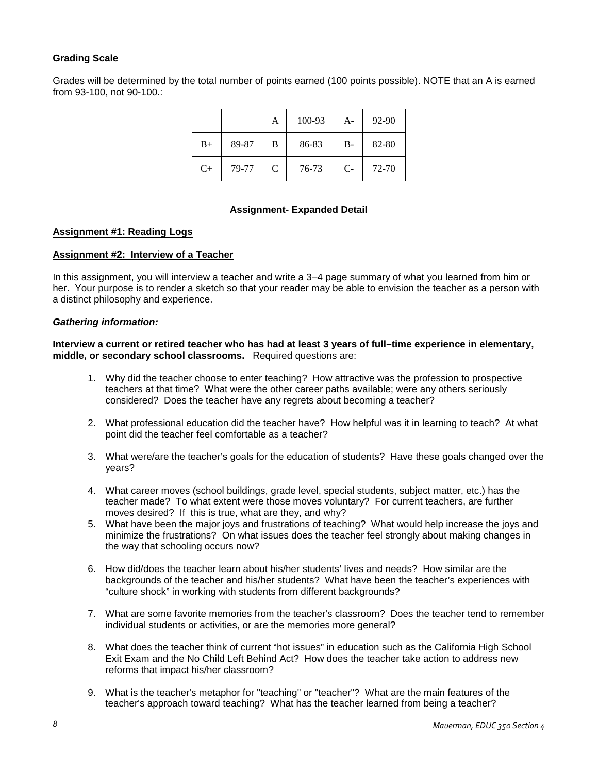# **Grading Scale**

Grades will be determined by the total number of points earned (100 points possible). NOTE that an A is earned from 93-100, not 90-100.:

|      |       | A | 100-93 | $A-$  | 92-90 |
|------|-------|---|--------|-------|-------|
| $B+$ | 89-87 | B | 86-83  | $B -$ | 82-80 |
| $C+$ | 79-77 | C | 76-73  | $C-$  | 72-70 |

# **Assignment- Expanded Detail**

#### <span id="page-7-1"></span><span id="page-7-0"></span>**Assignment #1: Reading Logs**

# <span id="page-7-2"></span>**Assignment #2: Interview of a Teacher**

In this assignment, you will interview a teacher and write a 3–4 page summary of what you learned from him or her. Your purpose is to render a sketch so that your reader may be able to envision the teacher as a person with a distinct philosophy and experience.

#### *Gathering information:*

**Interview a current or retired teacher who has had at least 3 years of full–time experience in elementary, middle, or secondary school classrooms.** Required questions are:

- 1. Why did the teacher choose to enter teaching? How attractive was the profession to prospective teachers at that time? What were the other career paths available; were any others seriously considered? Does the teacher have any regrets about becoming a teacher?
- 2. What professional education did the teacher have? How helpful was it in learning to teach? At what point did the teacher feel comfortable as a teacher?
- 3. What were/are the teacher's goals for the education of students? Have these goals changed over the years?
- 4. What career moves (school buildings, grade level, special students, subject matter, etc.) has the teacher made? To what extent were those moves voluntary? For current teachers, are further moves desired? If this is true, what are they, and why?
- 5. What have been the major joys and frustrations of teaching? What would help increase the joys and minimize the frustrations? On what issues does the teacher feel strongly about making changes in the way that schooling occurs now?
- 6. How did/does the teacher learn about his/her students' lives and needs? How similar are the backgrounds of the teacher and his/her students? What have been the teacher's experiences with "culture shock" in working with students from different backgrounds?
- 7. What are some favorite memories from the teacher's classroom? Does the teacher tend to remember individual students or activities, or are the memories more general?
- 8. What does the teacher think of current "hot issues" in education such as the California High School Exit Exam and the No Child Left Behind Act? How does the teacher take action to address new reforms that impact his/her classroom?
- 9. What is the teacher's metaphor for "teaching" or "teacher"? What are the main features of the teacher's approach toward teaching? What has the teacher learned from being a teacher?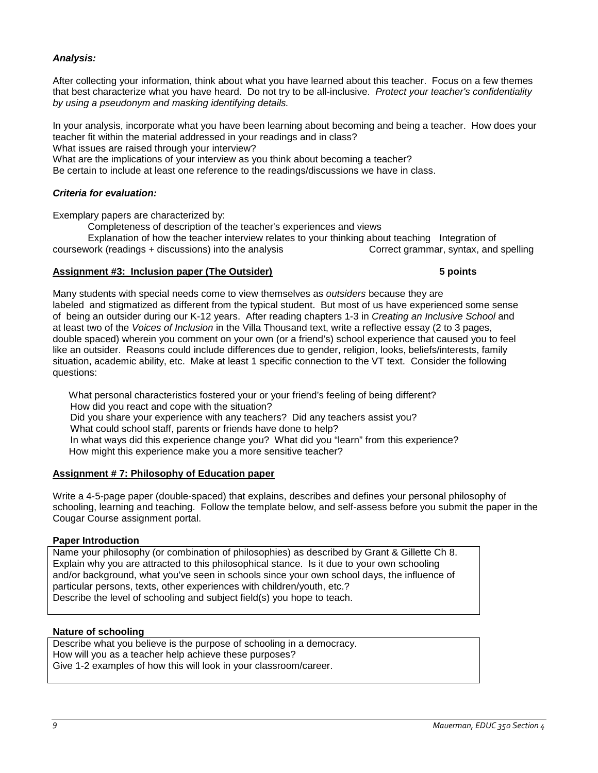# *Analysis:*

After collecting your information, think about what you have learned about this teacher. Focus on a few themes that best characterize what you have heard. Do not try to be all-inclusive. *Protect your teacher's confidentiality by using a pseudonym and masking identifying details.*

In your analysis, incorporate what you have been learning about becoming and being a teacher. How does your teacher fit within the material addressed in your readings and in class?

What issues are raised through your interview?

What are the implications of your interview as you think about becoming a teacher?

Be certain to include at least one reference to the readings/discussions we have in class.

# *Criteria for evaluation:*

Exemplary papers are characterized by:

Completeness of description of the teacher's experiences and views

Explanation of how the teacher interview relates to your thinking about teaching Integration of coursework (readings + discussions) into the analysis Correct grammar, syntax, and spelling

#### <span id="page-8-0"></span>**Assignment #3: Inclusion paper (The Outsider) 5 points**

Many students with special needs come to view themselves as *outsiders* because they are labeled and stigmatized as different from the typical student. But most of us have experienced some sense of being an outsider during our K-12 years. After reading chapters 1-3 in *Creating an Inclusive School* and at least two of the *Voices of Inclusion* in the Villa Thousand text, write a reflective essay (2 to 3 pages, double spaced) wherein you comment on your own (or a friend's) school experience that caused you to feel like an outsider. Reasons could include differences due to gender, religion, looks, beliefs/interests, family situation, academic ability, etc. Make at least 1 specific connection to the VT text. Consider the following questions:

 What personal characteristics fostered your or your friend's feeling of being different? How did you react and cope with the situation? Did you share your experience with any teachers? Did any teachers assist you? What could school staff, parents or friends have done to help? In what ways did this experience change you? What did you "learn" from this experience? How might this experience make you a more sensitive teacher?

#### <span id="page-8-1"></span>**Assignment # 7: Philosophy of Education paper**

Write a 4-5-page paper (double-spaced) that explains, describes and defines your personal philosophy of schooling, learning and teaching. Follow the template below, and self-assess before you submit the paper in the Cougar Course assignment portal.

# **Paper Introduction**

Name your philosophy (or combination of philosophies) as described by Grant & Gillette Ch 8. Explain why you are attracted to this philosophical stance. Is it due to your own schooling and/or background, what you've seen in schools since your own school days, the influence of particular persons, texts, other experiences with children/youth, etc.? Describe the level of schooling and subject field(s) you hope to teach.

# **Nature of schooling**

Describe what you believe is the purpose of schooling in a democracy. How will you as a teacher help achieve these purposes? Give 1-2 examples of how this will look in your classroom/career.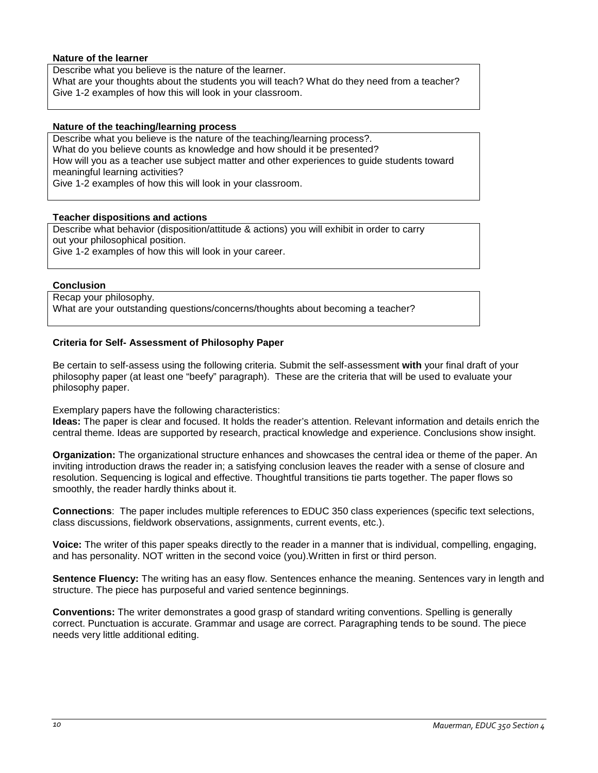#### **Nature of the learner**

Describe what you believe is the nature of the learner. What are your thoughts about the students you will teach? What do they need from a teacher? Give 1-2 examples of how this will look in your classroom.

#### **Nature of the teaching/learning process**

Describe what you believe is the nature of the teaching/learning process?. What do you believe counts as knowledge and how should it be presented? How will you as a teacher use subject matter and other experiences to guide students toward meaningful learning activities? Give 1-2 examples of how this will look in your classroom.

#### **Teacher dispositions and actions**

Describe what behavior (disposition/attitude & actions) you will exhibit in order to carry out your philosophical position.

Give 1-2 examples of how this will look in your career.

#### **Conclusion**

Recap your philosophy. What are your outstanding questions/concerns/thoughts about becoming a teacher?

# **Criteria for Self- Assessment of Philosophy Paper**

Be certain to self-assess using the following criteria. Submit the self-assessment **with** your final draft of your philosophy paper (at least one "beefy" paragraph). These are the criteria that will be used to evaluate your philosophy paper.

Exemplary papers have the following characteristics:

**Ideas:** The paper is clear and focused. It holds the reader's attention. Relevant information and details enrich the central theme. Ideas are supported by research, practical knowledge and experience. Conclusions show insight.

**Organization:** The organizational structure enhances and showcases the central idea or theme of the paper. An inviting introduction draws the reader in; a satisfying conclusion leaves the reader with a sense of closure and resolution. Sequencing is logical and effective. Thoughtful transitions tie parts together. The paper flows so smoothly, the reader hardly thinks about it.

**Connections**: The paper includes multiple references to EDUC 350 class experiences (specific text selections, class discussions, fieldwork observations, assignments, current events, etc.).

**Voice:** The writer of this paper speaks directly to the reader in a manner that is individual, compelling, engaging, and has personality. NOT written in the second voice (you).Written in first or third person.

**Sentence Fluency:** The writing has an easy flow. Sentences enhance the meaning. Sentences vary in length and structure. The piece has purposeful and varied sentence beginnings.

**Conventions:** The writer demonstrates a good grasp of standard writing conventions. Spelling is generally correct. Punctuation is accurate. Grammar and usage are correct. Paragraphing tends to be sound. The piece needs very little additional editing.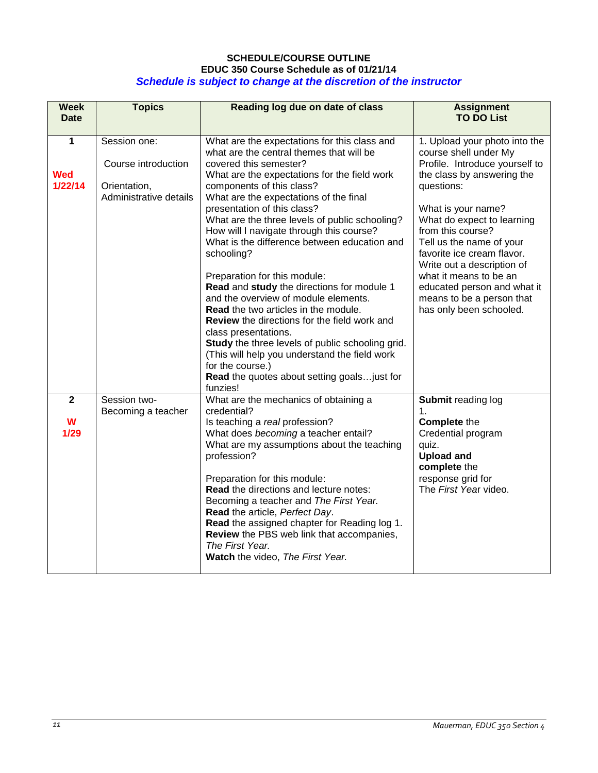# **SCHEDULE/COURSE OUTLINE EDUC 350 Course Schedule as of 01/21/14** *Schedule is subject to change at the discretion of the instructor*

<span id="page-10-0"></span>

| <b>Week</b><br><b>Date</b> | <b>Topics</b>                                                                 | Reading log due on date of class                                                                                                                                                                                                                                                                                                                                                                                                                                                                                                                                                                                                                                                                                                                                                                                                                                             | <b>Assignment</b><br><b>TO DO List</b>                                                                                                                                                                                                                                                                                                                                                                                 |
|----------------------------|-------------------------------------------------------------------------------|------------------------------------------------------------------------------------------------------------------------------------------------------------------------------------------------------------------------------------------------------------------------------------------------------------------------------------------------------------------------------------------------------------------------------------------------------------------------------------------------------------------------------------------------------------------------------------------------------------------------------------------------------------------------------------------------------------------------------------------------------------------------------------------------------------------------------------------------------------------------------|------------------------------------------------------------------------------------------------------------------------------------------------------------------------------------------------------------------------------------------------------------------------------------------------------------------------------------------------------------------------------------------------------------------------|
| 1<br><b>Wed</b><br>1/22/14 | Session one:<br>Course introduction<br>Orientation,<br>Administrative details | What are the expectations for this class and<br>what are the central themes that will be<br>covered this semester?<br>What are the expectations for the field work<br>components of this class?<br>What are the expectations of the final<br>presentation of this class?<br>What are the three levels of public schooling?<br>How will I navigate through this course?<br>What is the difference between education and<br>schooling?<br>Preparation for this module:<br>Read and study the directions for module 1<br>and the overview of module elements.<br><b>Read</b> the two articles in the module.<br><b>Review</b> the directions for the field work and<br>class presentations.<br>Study the three levels of public schooling grid.<br>(This will help you understand the field work<br>for the course.)<br>Read the quotes about setting goalsjust for<br>funzies! | 1. Upload your photo into the<br>course shell under My<br>Profile. Introduce yourself to<br>the class by answering the<br>questions:<br>What is your name?<br>What do expect to learning<br>from this course?<br>Tell us the name of your<br>favorite ice cream flavor.<br>Write out a description of<br>what it means to be an<br>educated person and what it<br>means to be a person that<br>has only been schooled. |
| $\mathbf{2}$<br>W<br>1/29  | Session two-<br>Becoming a teacher                                            | What are the mechanics of obtaining a<br>credential?<br>Is teaching a real profession?<br>What does becoming a teacher entail?<br>What are my assumptions about the teaching<br>profession?<br>Preparation for this module:<br><b>Read the directions and lecture notes:</b><br>Becoming a teacher and The First Year.<br>Read the article, Perfect Day.<br>Read the assigned chapter for Reading log 1.<br>Review the PBS web link that accompanies,<br>The First Year.<br>Watch the video, The First Year.                                                                                                                                                                                                                                                                                                                                                                 | Submit reading log<br>1.<br><b>Complete the</b><br>Credential program<br>quiz.<br><b>Upload and</b><br>complete the<br>response grid for<br>The First Year video.                                                                                                                                                                                                                                                      |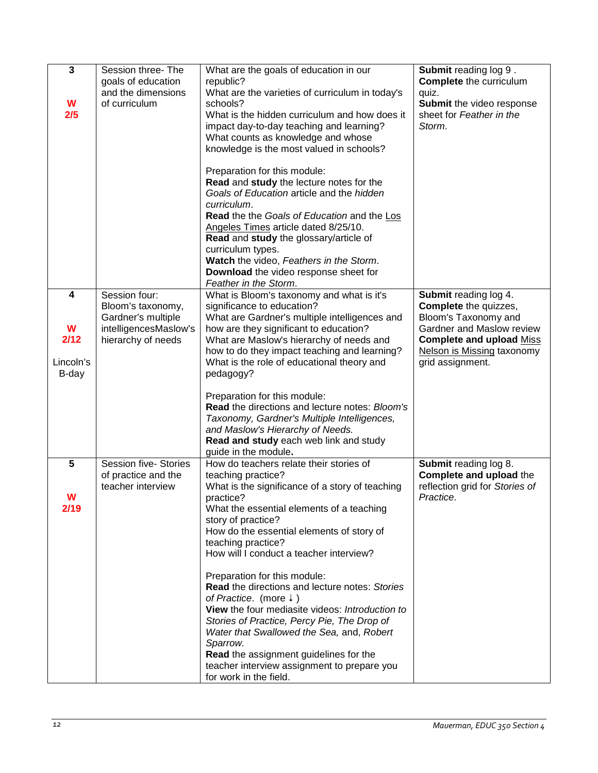| $\mathbf{3}$<br>W<br>2/5             | Session three-The<br>goals of education<br>and the dimensions<br>of curriculum                          | What are the goals of education in our<br>republic?<br>What are the varieties of curriculum in today's<br>schools?<br>What is the hidden curriculum and how does it<br>impact day-to-day teaching and learning?<br>What counts as knowledge and whose<br>knowledge is the most valued in schools?<br>Preparation for this module:                                                                                                                                                                                                                                                                                                                                                                                                         | <b>Submit reading log 9.</b><br><b>Complete</b> the curriculum<br>quiz.<br>Submit the video response<br>sheet for Feather in the<br>Storm.                                                             |
|--------------------------------------|---------------------------------------------------------------------------------------------------------|-------------------------------------------------------------------------------------------------------------------------------------------------------------------------------------------------------------------------------------------------------------------------------------------------------------------------------------------------------------------------------------------------------------------------------------------------------------------------------------------------------------------------------------------------------------------------------------------------------------------------------------------------------------------------------------------------------------------------------------------|--------------------------------------------------------------------------------------------------------------------------------------------------------------------------------------------------------|
|                                      |                                                                                                         | Read and study the lecture notes for the<br>Goals of Education article and the hidden<br>curriculum.<br>Read the the Goals of Education and the Los<br>Angeles Times article dated 8/25/10.<br>Read and study the glossary/article of<br>curriculum types.<br>Watch the video, Feathers in the Storm.<br>Download the video response sheet for<br>Feather in the Storm.                                                                                                                                                                                                                                                                                                                                                                   |                                                                                                                                                                                                        |
| 4<br>W<br>2/12<br>Lincoln's<br>B-day | Session four:<br>Bloom's taxonomy,<br>Gardner's multiple<br>intelligencesMaslow's<br>hierarchy of needs | What is Bloom's taxonomy and what is it's<br>significance to education?<br>What are Gardner's multiple intelligences and<br>how are they significant to education?<br>What are Maslow's hierarchy of needs and<br>how to do they impact teaching and learning?<br>What is the role of educational theory and<br>pedagogy?<br>Preparation for this module:<br>Read the directions and lecture notes: Bloom's<br>Taxonomy, Gardner's Multiple Intelligences,<br>and Maslow's Hierarchy of Needs.<br>Read and study each web link and study                                                                                                                                                                                                  | Submit reading log 4.<br><b>Complete</b> the quizzes,<br>Bloom's Taxonomy and<br>Gardner and Maslow review<br><b>Complete and upload Miss</b><br><b>Nelson is Missing taxonomy</b><br>grid assignment. |
| 5<br>W<br>2/19                       | <b>Session five- Stories</b><br>of practice and the<br>teacher interview                                | guide in the module.<br>How do teachers relate their stories of<br>teaching practice?<br>What is the significance of a story of teaching<br>practice?<br>What the essential elements of a teaching<br>story of practice?<br>How do the essential elements of story of<br>teaching practice?<br>How will I conduct a teacher interview?<br>Preparation for this module:<br>Read the directions and lecture notes: Stories<br>of Practice. (more $\ddot{*}$ )<br>View the four mediasite videos: Introduction to<br>Stories of Practice, Percy Pie, The Drop of<br>Water that Swallowed the Sea, and, Robert<br>Sparrow.<br>Read the assignment guidelines for the<br>teacher interview assignment to prepare you<br>for work in the field. | Submit reading log 8.<br>Complete and upload the<br>reflection grid for Stories of<br>Practice.                                                                                                        |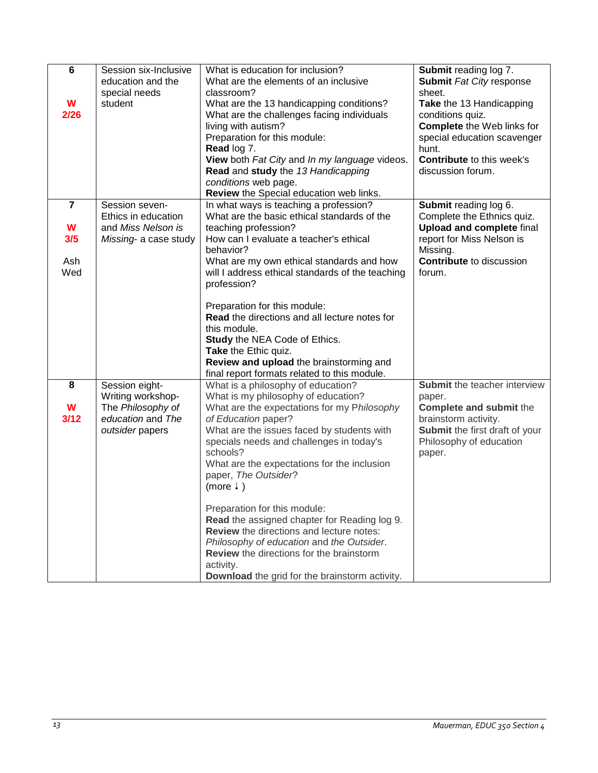| 6<br>W<br>2/26 | Session six-Inclusive<br>education and the<br>special needs<br>student | What is education for inclusion?<br>What are the elements of an inclusive<br>classroom?<br>What are the 13 handicapping conditions?<br>What are the challenges facing individuals<br>living with autism?<br>Preparation for this module:<br>Read log 7.<br>View both Fat City and In my language videos.<br>Read and study the 13 Handicapping<br>conditions web page.<br>Review the Special education web links. | Submit reading log 7.<br><b>Submit Fat City response</b><br>sheet.<br>Take the 13 Handicapping<br>conditions quiz.<br><b>Complete</b> the Web links for<br>special education scavenger<br>hunt.<br><b>Contribute to this week's</b><br>discussion forum. |
|----------------|------------------------------------------------------------------------|-------------------------------------------------------------------------------------------------------------------------------------------------------------------------------------------------------------------------------------------------------------------------------------------------------------------------------------------------------------------------------------------------------------------|----------------------------------------------------------------------------------------------------------------------------------------------------------------------------------------------------------------------------------------------------------|
| $\overline{7}$ | Session seven-<br>Ethics in education                                  | In what ways is teaching a profession?<br>What are the basic ethical standards of the                                                                                                                                                                                                                                                                                                                             | Submit reading log 6.<br>Complete the Ethnics quiz.                                                                                                                                                                                                      |
| W<br>3/5       | and Miss Nelson is<br>Missing- a case study                            | teaching profession?<br>How can I evaluate a teacher's ethical<br>behavior?                                                                                                                                                                                                                                                                                                                                       | <b>Upload and complete final</b><br>report for Miss Nelson is<br>Missing.                                                                                                                                                                                |
| Ash<br>Wed     |                                                                        | What are my own ethical standards and how<br>will I address ethical standards of the teaching<br>profession?                                                                                                                                                                                                                                                                                                      | <b>Contribute</b> to discussion<br>forum.                                                                                                                                                                                                                |
|                |                                                                        | Preparation for this module:<br><b>Read</b> the directions and all lecture notes for<br>this module.<br>Study the NEA Code of Ethics.<br>Take the Ethic quiz.<br>Review and upload the brainstorming and<br>final report formats related to this module.                                                                                                                                                          |                                                                                                                                                                                                                                                          |
| 8              | Session eight-<br>Writing workshop-                                    | What is a philosophy of education?<br>What is my philosophy of education?                                                                                                                                                                                                                                                                                                                                         | Submit the teacher interview<br>paper.                                                                                                                                                                                                                   |
| W<br>3/12      | The Philosophy of<br>education and The<br>outsider papers              | What are the expectations for my Philosophy<br>of Education paper?<br>What are the issues faced by students with<br>specials needs and challenges in today's<br>schools?<br>What are the expectations for the inclusion<br>paper, The Outsider?<br>(more $\downarrow$ )                                                                                                                                           | <b>Complete and submit the</b><br>brainstorm activity.<br>Submit the first draft of your<br>Philosophy of education<br>paper.                                                                                                                            |
|                |                                                                        | Preparation for this module:<br>Read the assigned chapter for Reading log 9.<br>Review the directions and lecture notes:<br>Philosophy of education and the Outsider.<br>Review the directions for the brainstorm<br>activity.<br>Download the grid for the brainstorm activity.                                                                                                                                  |                                                                                                                                                                                                                                                          |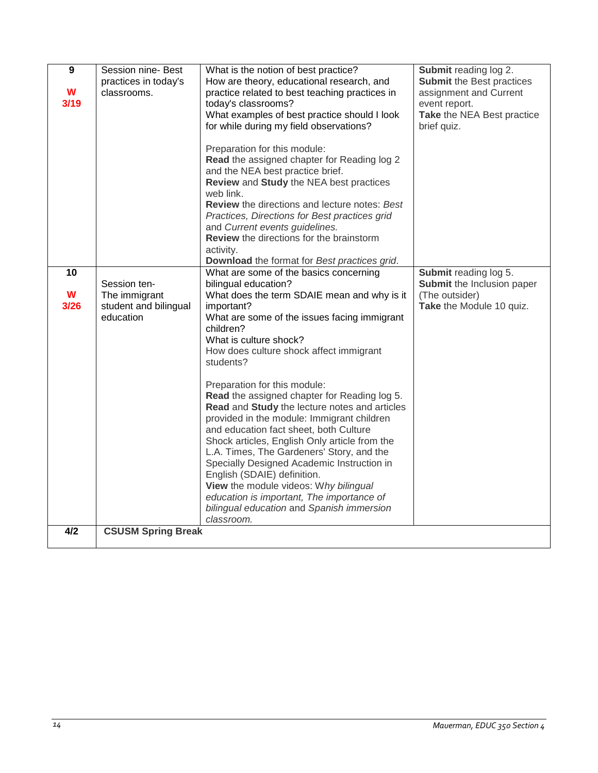| 9         | Session nine- Best                  | What is the notion of best practice?                                                        | Submit reading log 2.                                      |
|-----------|-------------------------------------|---------------------------------------------------------------------------------------------|------------------------------------------------------------|
| W         | practices in today's<br>classrooms. | How are theory, educational research, and<br>practice related to best teaching practices in | <b>Submit the Best practices</b><br>assignment and Current |
| 3/19      |                                     | today's classrooms?                                                                         | event report.                                              |
|           |                                     | What examples of best practice should I look                                                | Take the NEA Best practice                                 |
|           |                                     | for while during my field observations?                                                     | brief quiz.                                                |
|           |                                     |                                                                                             |                                                            |
|           |                                     | Preparation for this module:                                                                |                                                            |
|           |                                     | Read the assigned chapter for Reading log 2<br>and the NEA best practice brief.             |                                                            |
|           |                                     | Review and Study the NEA best practices                                                     |                                                            |
|           |                                     | web link.                                                                                   |                                                            |
|           |                                     | Review the directions and lecture notes: Best                                               |                                                            |
|           |                                     | Practices, Directions for Best practices grid                                               |                                                            |
|           |                                     | and Current events guidelines.<br>Review the directions for the brainstorm                  |                                                            |
|           |                                     | activity.                                                                                   |                                                            |
|           |                                     | Download the format for Best practices grid.                                                |                                                            |
| 10        |                                     | What are some of the basics concerning                                                      | Submit reading log 5.                                      |
|           | Session ten-                        | bilingual education?                                                                        | Submit the Inclusion paper                                 |
| W<br>3/26 | The immigrant                       | What does the term SDAIE mean and why is it                                                 | (The outsider)<br>Take the Module 10 quiz.                 |
|           | student and bilingual<br>education  | important?<br>What are some of the issues facing immigrant                                  |                                                            |
|           |                                     | children?                                                                                   |                                                            |
|           |                                     | What is culture shock?                                                                      |                                                            |
|           |                                     | How does culture shock affect immigrant                                                     |                                                            |
|           |                                     | students?                                                                                   |                                                            |
|           |                                     | Preparation for this module:                                                                |                                                            |
|           |                                     | Read the assigned chapter for Reading log 5.                                                |                                                            |
|           |                                     | Read and Study the lecture notes and articles                                               |                                                            |
|           |                                     | provided in the module: Immigrant children                                                  |                                                            |
|           |                                     | and education fact sheet, both Culture                                                      |                                                            |
|           |                                     | Shock articles, English Only article from the<br>L.A. Times, The Gardeners' Story, and the  |                                                            |
|           |                                     | Specially Designed Academic Instruction in                                                  |                                                            |
|           |                                     | English (SDAIE) definition.                                                                 |                                                            |
|           |                                     | View the module videos: Why bilingual                                                       |                                                            |
|           |                                     | education is important, The importance of                                                   |                                                            |
|           |                                     | bilingual education and Spanish immersion<br>classroom.                                     |                                                            |
| 4/2       | <b>CSUSM Spring Break</b>           |                                                                                             |                                                            |
|           |                                     |                                                                                             |                                                            |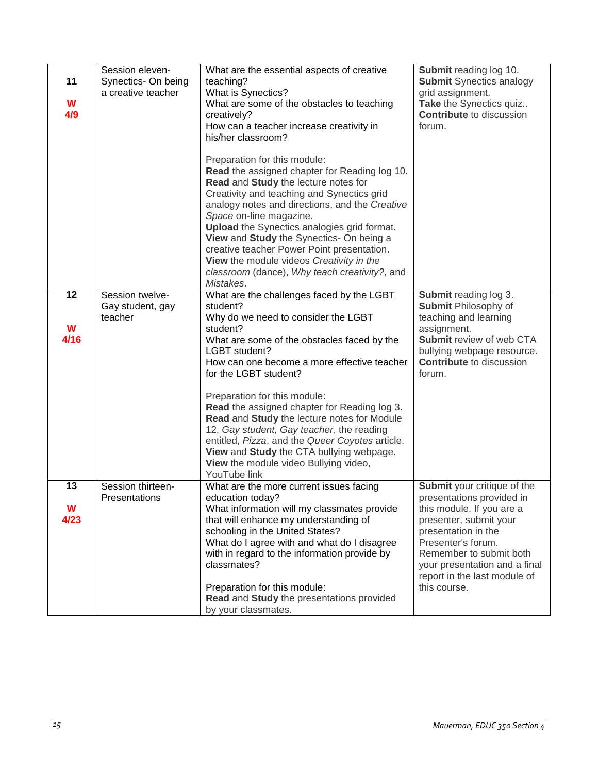| 11<br>W<br>4/9  | Session eleven-<br>Synectics- On being<br>a creative teacher | What are the essential aspects of creative<br>teaching?<br>What is Synectics?<br>What are some of the obstacles to teaching<br>creatively?<br>How can a teacher increase creativity in<br>his/her classroom?<br>Preparation for this module:<br>Read the assigned chapter for Reading log 10.<br>Read and Study the lecture notes for<br>Creativity and teaching and Synectics grid<br>analogy notes and directions, and the Creative<br>Space on-line magazine.<br><b>Upload</b> the Synectics analogies grid format.<br>View and Study the Synectics- On being a                   | Submit reading log 10.<br><b>Submit Synectics analogy</b><br>grid assignment.<br>Take the Synectics quiz<br><b>Contribute</b> to discussion<br>forum.                                                                                                                    |
|-----------------|--------------------------------------------------------------|--------------------------------------------------------------------------------------------------------------------------------------------------------------------------------------------------------------------------------------------------------------------------------------------------------------------------------------------------------------------------------------------------------------------------------------------------------------------------------------------------------------------------------------------------------------------------------------|--------------------------------------------------------------------------------------------------------------------------------------------------------------------------------------------------------------------------------------------------------------------------|
|                 |                                                              | creative teacher Power Point presentation.<br>View the module videos Creativity in the<br>classroom (dance), Why teach creativity?, and<br>Mistakes.                                                                                                                                                                                                                                                                                                                                                                                                                                 |                                                                                                                                                                                                                                                                          |
| 12<br>W<br>4/16 | Session twelve-<br>Gay student, gay<br>teacher               | What are the challenges faced by the LGBT<br>student?<br>Why do we need to consider the LGBT<br>student?<br>What are some of the obstacles faced by the<br>LGBT student?<br>How can one become a more effective teacher<br>for the LGBT student?<br>Preparation for this module:<br>Read the assigned chapter for Reading log 3.<br>Read and Study the lecture notes for Module<br>12, Gay student, Gay teacher, the reading<br>entitled, Pizza, and the Queer Coyotes article.<br>View and Study the CTA bullying webpage.<br>View the module video Bullying video,<br>YouTube link | Submit reading log 3.<br><b>Submit Philosophy of</b><br>teaching and learning<br>assignment.<br>Submit review of web CTA<br>bullying webpage resource.<br><b>Contribute</b> to discussion<br>forum.                                                                      |
| 13<br>W<br>4/23 | Session thirteen-<br>Presentations                           | What are the more current issues facing<br>education today?<br>What information will my classmates provide<br>that will enhance my understanding of<br>schooling in the United States?<br>What do I agree with and what do I disagree<br>with in regard to the information provide by<br>classmates?<br>Preparation for this module:<br>Read and Study the presentations provided<br>by your classmates.                                                                                                                                                                             | Submit your critique of the<br>presentations provided in<br>this module. If you are a<br>presenter, submit your<br>presentation in the<br>Presenter's forum.<br>Remember to submit both<br>your presentation and a final<br>report in the last module of<br>this course. |